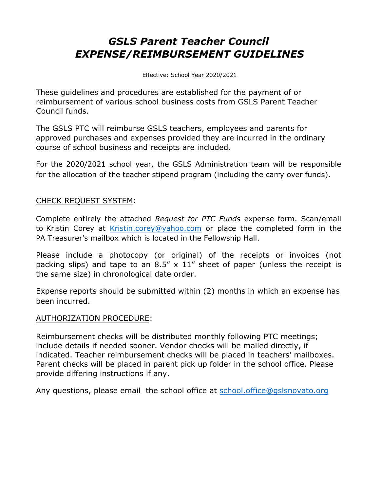## *GSLS Parent Teacher Council EXPENSE/REIMBURSEMENT GUIDELINES*

Effective: School Year 2020/2021

These guidelines and procedures are established for the payment of or reimbursement of various school business costs from GSLS Parent Teacher Council funds.

The GSLS PTC will reimburse GSLS teachers, employees and parents for approved purchases and expenses provided they are incurred in the ordinary course of school business and receipts are included.

For the 2020/2021 school year, the GSLS Administration team will be responsible for the allocation of the teacher stipend program (including the carry over funds).

### CHECK REQUEST SYSTEM:

Complete entirely the attached *Request for PTC Funds* expense form. Scan/email to Kristin Corey at [Kristin.corey@yahoo.com](mailto:Kristin.corey@yahoo.com) or place the completed form in the PA Treasurer's mailbox which is located in the Fellowship Hall.

Please include a photocopy (or original) of the receipts or invoices (not packing slips) and tape to an  $8.5'' \times 11''$  sheet of paper (unless the receipt is the same size) in chronological date order.

Expense reports should be submitted within (2) months in which an expense has been incurred.

#### AUTHORIZATION PROCEDURE:

Reimbursement checks will be distributed monthly following PTC meetings; include details if needed sooner. Vendor checks will be mailed directly, if indicated. Teacher reimbursement checks will be placed in teachers' mailboxes. Parent checks will be placed in parent pick up folder in the school office. Please provide differing instructions if any.

Any questions, please email the school office at [school.office@gslsnovato.org](mailto:school.office@gslsnovato.org)